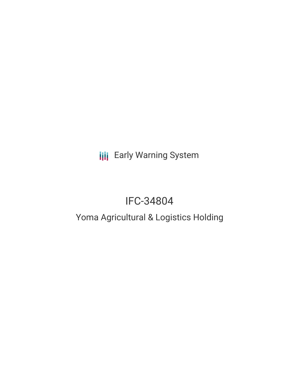**III** Early Warning System

# IFC-34804

## Yoma Agricultural & Logistics Holding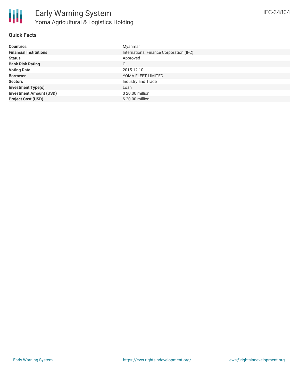

#### **Quick Facts**

| <b>Countries</b>               | Myanmar                                 |
|--------------------------------|-----------------------------------------|
| <b>Financial Institutions</b>  | International Finance Corporation (IFC) |
| <b>Status</b>                  | Approved                                |
| <b>Bank Risk Rating</b>        | C                                       |
| <b>Voting Date</b>             | 2015-12-10                              |
| <b>Borrower</b>                | YOMA FLEET LIMITED                      |
| <b>Sectors</b>                 | Industry and Trade                      |
| <b>Investment Type(s)</b>      | Loan                                    |
| <b>Investment Amount (USD)</b> | \$20.00 million                         |
| <b>Project Cost (USD)</b>      | \$20.00 million                         |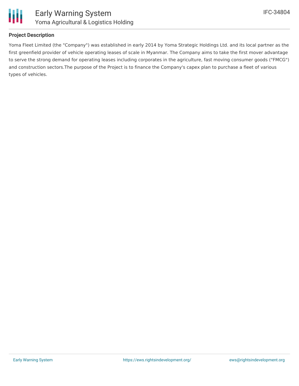

#### **Project Description**

Yoma Fleet Limited (the "Company") was established in early 2014 by Yoma Strategic Holdings Ltd. and its local partner as the first greenfield provider of vehicle operating leases of scale in Myanmar. The Company aims to take the first mover advantage to serve the strong demand for operating leases including corporates in the agriculture, fast moving consumer goods ("FMCG") and construction sectors.The purpose of the Project is to finance the Company's capex plan to purchase a fleet of various types of vehicles.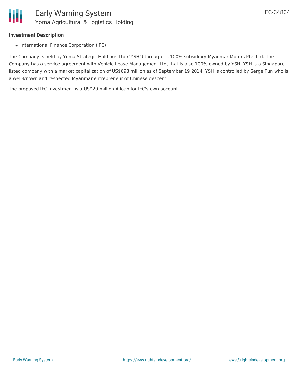

### **Investment Description**

• International Finance Corporation (IFC)

The Company is held by Yoma Strategic Holdings Ltd ("YSH") through its 100% subsidiary Myanmar Motors Pte. Ltd. The Company has a service agreement with Vehicle Lease Management Ltd, that is also 100% owned by YSH. YSH is a Singapore listed company with a market capitalization of US\$698 million as of September 19 2014. YSH is controlled by Serge Pun who is a well-known and respected Myanmar entrepreneur of Chinese descent.

The proposed IFC investment is a US\$20 million A loan for IFC's own account.